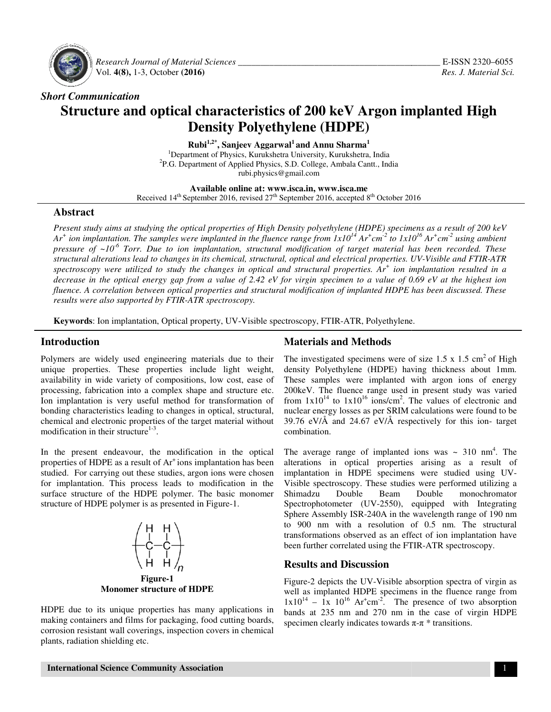

 *Research Journal of Material Sciences Sciences \_\_\_\_\_\_\_\_\_\_\_\_\_\_\_\_\_\_\_\_\_\_\_\_\_\_\_\_\_\_\_\_\_\_\_\_\_\_\_\_\_* Vol. **4(8),** 1-3, October **(2016)**

## *Short Communication*

# **Structure and optical characteristics of 200 keV Argon implanted High <br>Density Polyethylene (HDPE) Density Polyethylene (HDPE)**

**Rubi 1,2\*, Sanjeev Aggarwal<sup>1</sup>and Annu Sharma<sup>1</sup>** <sup>1</sup>Department of Physics, Kurukshetra University, Kurukshetra, India <sup>2</sup>P.G. Department of Applied Physics, S.D. College, Ambala Cantt., India rubi.physics@gmail.com

**Available online at: www.isca.in, www.isca.me**  Received  $14<sup>th</sup>$  September 2016, revised  $27<sup>th</sup>$  September 2016, accepted  $8<sup>th</sup>$  October 2016

### **Abstract**

*Present study aims at studying the optical properties of High Density polyethylene (HDPE) specimens as a result of 200 keV* Ar<sup>+</sup> ion implantation. The samples were implanted in the fluence range from  $1x10^{14}$  Ar<sup>+</sup>cm<sup>-2</sup> to  $1x10^{16}$  Ar<sup>+</sup>cm<sup>-2</sup> using ambient pressure of ~10<sup>-6</sup> Torr. Due to ion implantation, structural modification of target material has been recorded. These structural alterations lead to changes in its chemical, structural, optical and electrical properties. UV-Visible and FTIR-ATR structural alterations lead to changes in its chemical, structural, optical and electrical properties. UV-Visible and FTIR-ATR<br>spectroscopy were utilized to study the changes in optical and structural properties. Ar<sup>+</sup> ion *decrease in the optical energy gap from a value of 2.42 eV for virgin specimen to a value of 0.69 eV at the highest ion fluence. A correlation between optical properties and structural modification of implanted HDPE has been discussed. These results were also supported by FTIR-ATR spectroscopy.* 

Keywords: Ion implantation, Optical property, UV-Visible spectroscopy, FTIR-ATR, Polyethylene.

### **Introduction**

Polymers are widely used engineering materials due to their unique properties. These properties include light weight, availability in wide variety of compositions, low cost, ease of processing, fabrication into a complex shape and structure etc. Ion implantation is very useful method for transformation of bonding characteristics leading to changes in optical, structural, chemical and electronic properties of the target material without modification in their structure $1-3$ . re widely used engineering materials due to their<br>perties. These properties include light weight,<br>in wide variety of compositions, low cost, ease of<br>fabrication into a complex shape and structure etc.<br>ation is very useful **COMPROMET ANTIFY**<br> **CONTROMENT ANTIFY**<br>
Intervieting materials and the investigated specimens we projecties. These properties include light weight, then<br>
the investigated experimes we propress in the variety of compositi

In the present endeavour, the modification in the optical properties of HDPE as a result of Ar<sup>+</sup>ions implantation has been studied. For carrying out these studies, argon ions were chosen for implantation. This process leads to modification in the surface structure of the HDPE polymer. The basic monomer structure of HDPE polymer is as presented in Figure-1. chemical and electronic properties of the target material wit<br>modification in their structure<sup>1-3</sup>.<br>In the present endeavour, the modification in the op<br>properties of HDPE as a result of Ar<sup>+</sup> ions implantation has<br>studied



HDPE due to its unique properties has many applications in making containers and films for packaging, food cutting boards, corrosion resistant wall coverings, inspection covers in chemical plants, radiation shielding etc.

The investigated specimens were of size  $1.5 \times 1.5 \text{ cm}^2$  of High density Polyethylene (HDPE) having thickness about 1mm. These samples were implanted with argon ions of energy 200keV. The fluence range used in present study was varied from  $1x10^{14}$  to  $1x10^{16}$  ions/cm<sup>2</sup>. The values of electronic and nuclear energy losses as per SRIM calculations were found to be 39.76 eV/ $\AA$  and 24.67 eV/ $\AA$  respectively for this ion-target combination. samples were implanted with argon ions of energy.<br>
The fluence range used in present study was varied<br>  $10^{14}$  to  $1x10^{16}$  ions/cm<sup>2</sup>. The values of electronic and<br>
energy losses as per SRIM calculations were found to

The average range of implanted ions was  $\sim 310 \text{ nm}^4$ . The alterations in optical properties arising as a result of alterations in optical properties arising as a result of implantation in HDPE specimens were studied using UV-Visible spectroscopy. These studies were performed utilizing a Shimadzu Double Beam Double monochromator Spectrophotometer (UV-2550), equipped with Integrating Sphere Assembly ISR-240A in the wavelength range of 190 nm to 900 nm with a resolution of 0.5 nm. The structural transformations observed as an effect of ion implantation have been further correlated using the FTIR-ATR spectroscopy. ouble Beam Double monochromater (UV-2550), equipped with Integraty ISR-240A in the wavelength range of 190 th a resolution of 0.5 nm. The structure observed as an effect of ion implantation helated using the FTIR-ATR spect

### **Results and Discussion**

Figure-2 depicts the UV-Visible absorption spectra of virgin as well as implanted HDPE specimens in the fluence range from  $1x10^{14}$  –  $1x$   $10^{16}$  Ar<sup>+</sup>cm<sup>-2</sup>. The presence of two absorption bands at 235 nm and 270 nm in the case of virgin HDPE specimen clearly indicates towards  $\pi$ - $\pi$  \* transitions. e-2 depicts the UV-Visible absorption spectra of vi<br>as implanted HDPE specimens in the fluence rang<br><sup>14</sup> – 1x 10<sup>16</sup> Ar<sup>+</sup>cm<sup>-2</sup>. The presence of two abs<br>s at 235 nm and 270 nm in the case of virgin<br>men clearly indicates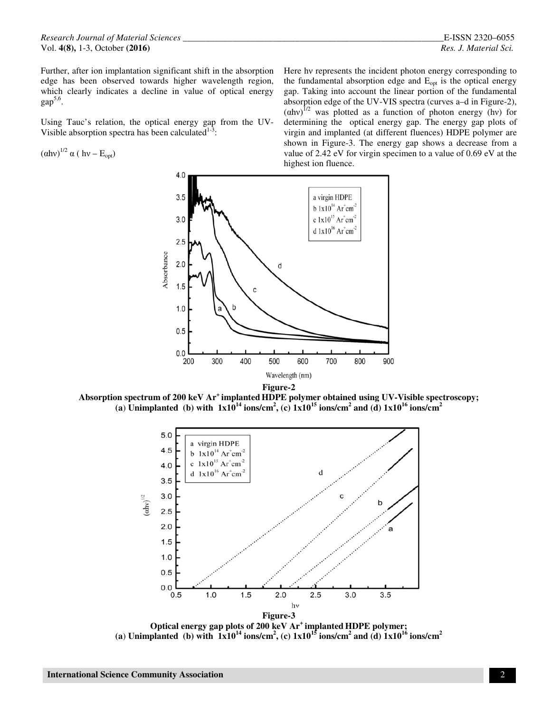Further, after ion implantation significant shift in the absorption edge has been observed towards higher wavelength region, which clearly indicates a decline in value of optical energy  $gap<sup>5,6</sup>$ .

Using Tauc's relation, the optical energy gap from the UV-Visible absorption spectra has been calculated $1-3$ :

$$
\left(\alpha h v\right)^{1/2} \alpha \left(\, h v - E_{opt}\right)
$$

Here hν represents the incident photon energy corresponding to the fundamental absorption edge and  $E_{opt}$  is the optical energy gap. Taking into account the linear portion of the fundamental absorption edge of the UV-VIS spectra (curves a–d in Figure-2),  $(ahv)^{1/2}$  was plotted as a function of photon energy (hv) for determining the optical energy gap. The energy gap plots of virgin and implanted (at different fluences) HDPE polymer are shown in Figure-3. The energy gap shows a decrease from a value of 2.42 eV for virgin specimen to a value of 0.69 eV at the highest ion fluence.



**Absorption spectrum of 200 keV Ar<sup>+</sup>implanted HDPE polymer obtained using UV-Visible spectroscopy; (a) Unimplanted** (b) with  $1x10^{14}$  ions/cm<sup>2</sup>, (c)  $1x10^{15}$  ions/cm<sup>2</sup> and (d)  $1x10^{16}$  ions/cm<sup>2</sup>



**Optical energy gap plots of 200 keV Ar<sup>+</sup>implanted HDPE polymer;**  (a) **Unimplanted** (b) with  $1x10^{14}$  ions/cm<sup>2</sup>, (c)  $1x10^{15}$  ions/cm<sup>2</sup> and (d)  $1x10^{16}$  ions/cm<sup>2</sup>